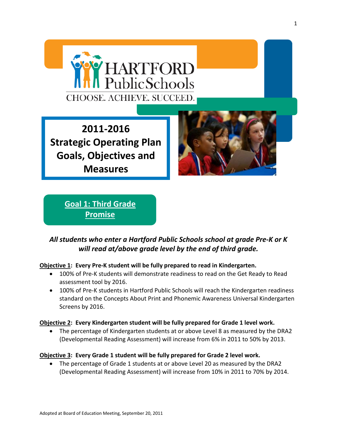

**2011-2016 Strategic Operating Plan Goals, Objectives and Measures** 



**Goal 1: Third Grade Promise**

## *All students who enter a Hartford Public Schools school at grade Pre-K or K will read at/above grade level by the end of third grade.*

### **Objective 1: Every Pre-K student will be fully prepared to read in Kindergarten.**

- 100% of Pre-K students will demonstrate readiness to read on the Get Ready to Read assessment tool by 2016.
- 100% of Pre-K students in Hartford Public Schools will reach the Kindergarten readiness standard on the Concepts About Print and Phonemic Awareness Universal Kindergarten Screens by 2016.

### **Objective 2: Every Kindergarten student will be fully prepared for Grade 1 level work.**

• The percentage of Kindergarten students at or above Level 8 as measured by the DRA2 (Developmental Reading Assessment) will increase from 6% in 2011 to 50% by 2013.

### **Objective 3: Every Grade 1 student will be fully prepared for Grade 2 level work.**

• The percentage of Grade 1 students at or above Level 20 as measured by the DRA2 (Developmental Reading Assessment) will increase from 10% in 2011 to 70% by 2014.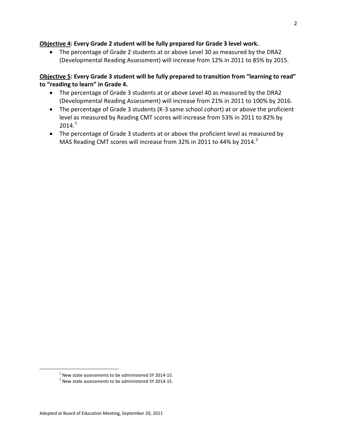### **Objective 4: Every Grade 2 student will be fully prepared for Grade 3 level work.**

• The percentage of Grade 2 students at or above Level 30 as measured by the DRA2 (Developmental Reading Assessment) will increase from 12% in 2011 to 85% by 2015.

### **Objective 5: Every Grade 3 student will be fully prepared to transition from "learning to read" to "reading to learn" in Grade 4.**

- The percentage of Grade 3 students at or above Level 40 as measured by the DRA2 (Developmental Reading Assessment) will increase from 21% in 2011 to 100% by 2016.
- The percentage of Grade 3 students (K-3 same school cohort) at or above the proficient level as measured by Reading CMT scores will increase from 53% in 2011 to 82% by  $2014.<sup>1</sup>$  $2014.<sup>1</sup>$  $2014.<sup>1</sup>$
- The percentage of Grade 3 students at or above the proficient level as measured by MAS Reading CMT scores will increase from 3[2](#page-1-0)% in 2011 to 44% by 2014.<sup>2</sup>

<span id="page-1-1"></span><sup>&</sup>lt;sup>1</sup> New state assessments to be administered SY 2014-15.<br><sup>2</sup> New state assessments to be administered SY 2014-15.

<span id="page-1-0"></span>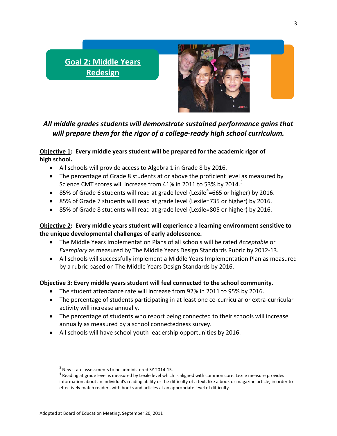# **Goal 2: Middle Years Redesign**



# *All middle grades students will demonstrate sustained performance gains that will prepare them for the rigor of a college-ready high school curriculum.*

### **Objective 1: Every middle years student will be prepared for the academic rigor of high school.**

- All schools will provide access to Algebra 1 in Grade 8 by 2016.
- The percentage of Grade 8 students at or above the proficient level as measured by Science CMT scores will increase from 41% in 2011 to 5[3](#page-1-1)% by 2014. $^3$
- 85% of Grade 6 students will read at grade level (Lexile<sup>[4](#page-2-0)</sup>=665 or higher) by 2016.
- 85% of Grade 7 students will read at grade level (Lexile=735 or higher) by 2016.
- 85% of Grade 8 students will read at grade level (Lexile=805 or higher) by 2016.

### **Objective 2: Every middle years student will experience a learning environment sensitive to the unique developmental challenges of early adolescence.**

- The Middle Years Implementation Plans of all schools will be rated *Acceptable* or *Exemplary* as measured by The Middle Years Design Standards Rubric by 2012-13.
- All schools will successfully implement a Middle Years Implementation Plan as measured by a rubric based on The Middle Years Design Standards by 2016.

## **Objective 3: Every middle years student will feel connected to the school community.**

- The student attendance rate will increase from 92% in 2011 to 95% by 2016.
- The percentage of students participating in at least one co-curricular or extra-curricular activity will increase annually.
- The percentage of students who report being connected to their schools will increase annually as measured by a school connectedness survey.
- All schools will have school youth leadership opportunities by 2016.

<span id="page-2-1"></span><span id="page-2-0"></span> $3$  New state assessments to be administered SY 2014-15.<br> $4$  Reading at grade level is measured by Lexile level which is aligned with common core. Lexile measure provides information about an individual's reading ability or the difficulty of a text, like a book or magazine article, in order to effectively match readers with books and articles at an appropriate level of difficulty.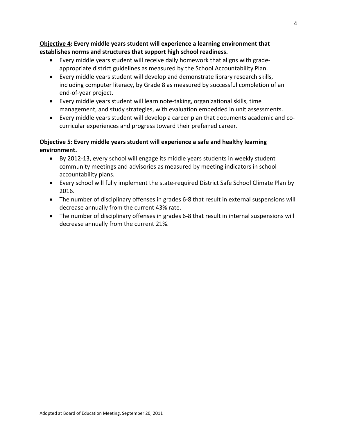**Objective 4: Every middle years student will experience a learning environment that establishes norms and structures that support high school readiness.**

- Every middle years student will receive daily homework that aligns with gradeappropriate district guidelines as measured by the School Accountability Plan.
- Every middle years student will develop and demonstrate library research skills, including computer literacy, by Grade 8 as measured by successful completion of an end-of-year project.
- Every middle years student will learn note-taking, organizational skills, time management, and study strategies, with evaluation embedded in unit assessments.
- Every middle years student will develop a career plan that documents academic and cocurricular experiences and progress toward their preferred career.

### **Objective 5: Every middle years student will experience a safe and healthy learning environment.**

- By 2012-13, every school will engage its middle years students in weekly student community meetings and advisories as measured by meeting indicators in school accountability plans.
- Every school will fully implement the state-required District Safe School Climate Plan by 2016.
- The number of disciplinary offenses in grades 6-8 that result in external suspensions will decrease annually from the current 43% rate.
- The number of disciplinary offenses in grades 6-8 that result in internal suspensions will decrease annually from the current 21%.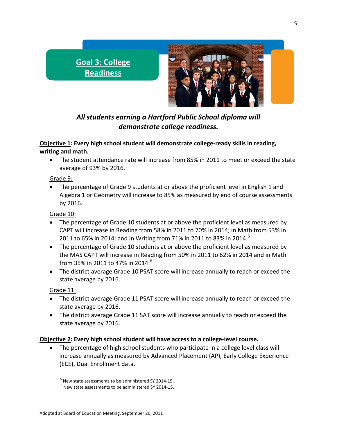# **Goal 3: College Readiness**



*All students earning a Hartford Public School diploma will demonstrate college readiness.*

## **Objective 1: Every high school student will demonstrate college-ready skills in reading, writing and math.**

• The student attendance rate will increase from 85% in 2011 to meet or exceed the state average of 93% by 2016.

### Grade 9:

• The percentage of Grade 9 students at or above the proficient level in English 1 and Algebra 1 or Geometry will increase to 85% as measured by end of course assessments by 2016.

### Grade 10:

- The percentage of Grade 10 students at or above the proficient level as measured by CAPT will increase in Reading from 58% in 2011 to 70% in 2014; in Math from 53% in 2011 to 6[5](#page-2-1)% in 2014; and in Writing from 71% in 2011 to 83% in 2014.<sup>5</sup>
- The percentage of Grade 10 students at or above the proficient level as measured by the MAS CAPT will increase in Reading from 50% in 2011 to 62% in 2014 and in Math from 35% in 2011 to 47% in 2014. $^{\rm 6}$  $^{\rm 6}$  $^{\rm 6}$
- The district average Grade 10 PSAT score will increase annually to reach or exceed the state average by 2016.

### Grade 11:

- The district average Grade 11 PSAT score will increase annually to reach or exceed the state average by 2016.
- The district average Grade 11 SAT score will increase annually to reach or exceed the state average by 2016.

### **Objective 2: Every high school student will have access to a college-level course.**

The percentage of high school students who participate in a college level class will increase annually as measured by Advanced Placement (AP), Early College Experience (ECE), Dual Enrollment data.

 $^5$  New state assessments to be administered SY 2014-15.<br> $^6$  New state assessments to be administered SY 2014-15.

<span id="page-4-0"></span>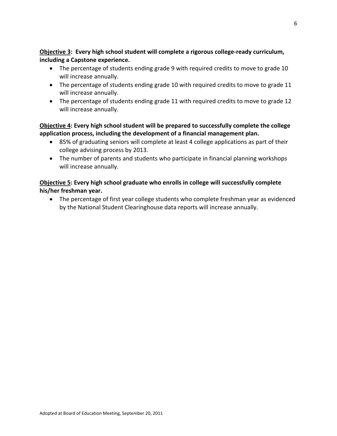**Objective 3: Every high school student will complete a rigorous college-ready curriculum, including a Capstone experience.** 

- The percentage of students ending grade 9 with required credits to move to grade 10 will increase annually.
- The percentage of students ending grade 10 with required credits to move to grade 11 will increase annually.
- The percentage of students ending grade 11 with required credits to move to grade 12 will increase annually.

**Objective 4: Every high school student will be prepared to successfully complete the college application process, including the development of a financial management plan.**

- 85% of graduating seniors will complete at least 4 college applications as part of their college advising process by 2013.
- The number of parents and students who participate in financial planning workshops will increase annually.

### **Objective 5: Every high school graduate who enrolls in college will successfully complete his/her freshman year.**

• The percentage of first year college students who complete freshman year as evidenced by the National Student Clearinghouse data reports will increase annually.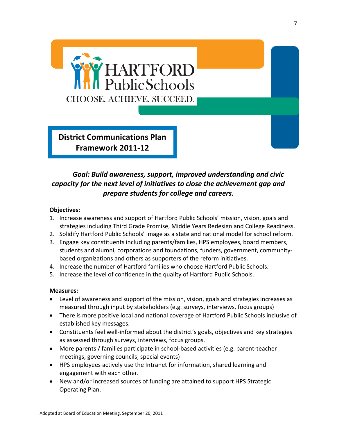

**District Communications Plan Framework 2011-12** 

# *Goal: Build awareness, support, improved understanding and civic capacity for the next level of initiatives to close the achievement gap and prepare students for college and careers***.**

### **Objectives:**

- 1. Increase awareness and support of Hartford Public Schools' mission, vision, goals and strategies including Third Grade Promise, Middle Years Redesign and College Readiness.
- 2. Solidify Hartford Public Schools' image as a state and national model for school reform.
- 3. Engage key constituents including parents/families, HPS employees, board members, students and alumni, corporations and foundations, funders, government, communitybased organizations and others as supporters of the reform initiatives.
- 4. Increase the number of Hartford families who choose Hartford Public Schools.
- 5. Increase the level of confidence in the quality of Hartford Public Schools.

### **Measures:**

- Level of awareness and support of the mission, vision, goals and strategies increases as measured through input by stakeholders (e.g. surveys, interviews, focus groups)
- There is more positive local and national coverage of Hartford Public Schools inclusive of established key messages.
- Constituents feel well-informed about the district's goals, objectives and key strategies as assessed through surveys, interviews, focus groups.
- More parents / families participate in school-based activities (e.g. parent-teacher meetings, governing councils, special events)
- HPS employees actively use the Intranet for information, shared learning and engagement with each other.
- <span id="page-6-0"></span>• New and/or increased sources of funding are attained to support HPS Strategic Operating Plan.